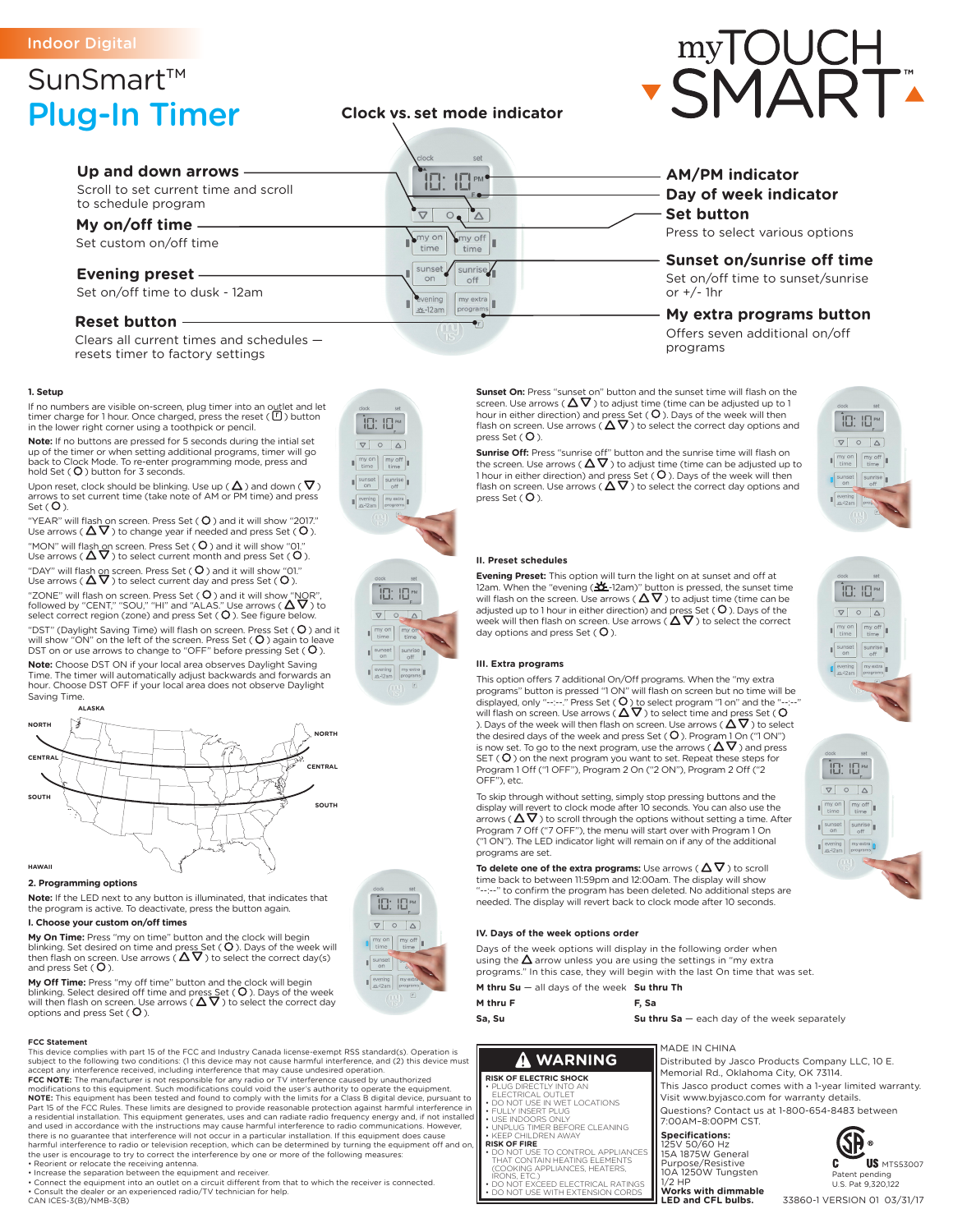# Indoor Digital

# SunSmart™ Plug-In Timer

## **Up and down arrows** Scroll to set current time and scroll to schedule program

**My on/off time**

# Set custom on/off time

## **Evening preset**

Set on/off time to dusk - 12am

## **Reset button**

Clears all current times and schedules resets timer to factory settings

#### **1. Setup**

If no numbers are visible on-screen, plug timer into an o<u>u</u>tlet and let<br>timer charge for 1 hour. Once charged, press the reset (U) button<br>in the lower right corner using a toothpick or pencil.

**Note:** If no buttons are pressed for 5 seconds during the intial set up of the timer or when setting additional programs, timer will go back to Clock Mode. To re-enter programming mode, press and<br>hold Set ( **O** ) button for 3 seconds.

Upon reset, clock should be blinking. Use up (  $\Delta$  ) and down (  $\sf V$  )<br>arrows to set current time (take note of AM or PM time) and press<br>Set (  $\sf O$  ).

"YEAR" will flash on screen. Press Set (  $\rm O$  ) and it will show "2017."<br>Use arrows (  $\rm \Delta \nabla$  ) to change year if needed and press Set (  $\rm O$  ). "MON" will flash on screen. Press Set (  $\rm O$  ) and it will show "01."<br>Use arrows (  $\rm \Delta \nabla$  ) to select current month and press Set (  $\rm O$  ).

"DAY" will flash on screen. Press Set (  $\rm O$  ) and it will show "01."<br>Use arrows (  $\rm \Delta \nabla$  ) to select current day and press Set (  $\rm O$  ).

"ZONE" will flash on screen. Press Set ( **O** ) and it will show "NOR",<br>followed by "CENT," "SOU," "HI" and "ALAS." Use arrows ( **∆ ∇** ) to<br>select correct region (zone) and press Set ( **O** ). See figure below.

"DST" (Daylight Saving Time) will flash on screen. Press Set ( **O** ) and it<br>will show "ON" on the left of the screen. Press Set ( **O** ), again to leave<br>DST on or use arrows to change to "OFF" before pressing Set ( **O** ).

**Note:** Choose DST ON if your local area observes Daylight Saving Time. The timer will automatically adjust backwards and forwards an hour. Choose DST OFF if your local area does not observe Daylight Saving Time.



#### **2. Programming options**

**Note:** If the LED next to any button is illuminated, that indicates that the program is active. To deactivate, press the button again.

## **I. Choose your custom on/off times**

**My On Time:** Press "my on time" button and the clock will begin<br>blinking. Set desired on time and press Set ( **O** ). Days of the week will<br>then flash on screen. Use arrows (  $\Delta \nabla$  ) to select the correct day(s) and press Set  $( O$ ).

**My Off Time:** Press "my off time" button and the clock will begin<br>blinking. Select desired off time and press Set ( **O** ). Days of the week<br>will then flash on screen. Use arrows (  $\Delta \nabla$  ) to select the correct day<br>opt

#### **FCC Statement**

This device complies with part 15 of the FCC and Industry Canada license-exempt RSS standard(s). Operation is subject to the following two conditions: (1 this device may not cause harmful interference, and (2) this device must<br>accept any interference received, including interference that may cause undesired operation.<br>**FCC NOTE:**

**NOTE:** This equipment has been tested and found to comply with the limits for a Class B digital device, pursuant to<br>Part 15 of the FCC Rules. These limits are designed to provide reasonable protection against harmful inte there is no guarantee that interference will not occur in a particular installation. If this equipment does cause<br>harmful interference to radio or television reception, which can be determined by turning the equipment off • Reorient or relocate the receiving antenna.

• Increase the separation between the equipment and receiver.<br>• Connect the equipment into an outlet on a circuit different from that to which the receiver is connected.<br>• Consult the dealer or an experienced radio/TV tech CAN ICES-3(B)/NMB-3(B)





# **AM/PM indicator Set button Day of week indicator**

Press to select various options

**Sunset on/sunrise off time** Set on/off time to sunset/sunrise

or +/- 1hr

## **My extra programs button** Offers seven additional on/off programs

**Sunset On:** Press "sunset on" button and the sunset time will flash on the screen. Use arrows ( $\Delta \nabla$ ) to adjust time (time can be adjusted up to 1 hour in either direction) and press Set (  $\bigcirc$  ). Days of the week will then<br>flash on screen. Use arrows (  $\Delta \nabla$  ) to select the correct day options and press Set  $(O)$ .

**Sunrise Off:** Press "sunrise off" button and the sunrise time will flash on<br>the screen. Use arrows (  $\Delta \nabla$  ) to adjust time (time can be adjusted up to 1 hour in either direction) and press Set (  $\rm O$  ). Days of the week will then<br>flash on screen. Use arrows (  $\rm \Delta \nabla$  ) to select the correct day options and  $presSet (O)$ .

### **II. Preset schedules**

**Evening Preset:** This option will turn the light on at sunset and off at 12am. When the "evening ( $\Delta E$ -12am)" button is pressed, the sunset time<br>will flash on the screen. Use arrows ( $\Delta \nabla$ ) to adjust time (time can be<br>adjusted up to 1 hour in either direction) and press Set (O). Days of th day options and press Set  $( O )$ .

### **III. Extra programs**

This option offers 7 additional On/Off programs. When the "my extra<br>programs" button is pressed "1 ON" will flash on screen but no time will be<br>displayed, only "--:--" Press Set (  $Q$  ) to select program "1 on" and the "-SET ( $O$ ) on the next program you want to set. Repeat these steps for Program 1 Off ("1 OFF"), Program 2 On ("2 ON"), Program 2 Off ("2 OFF"), etc.

To skip through without setting, simply stop pressing buttons and the display will revert to clock mode after 10 seconds. You can also use the<br>arrows (  $\Delta \nabla$  ) to scroll through the options without setting a time. After Program 7 Off ("7 OFF"), the menu will start over with Program 1 On ("1 ON"). The LED indicator light will remain on if any of the additional programs are set.

**To delete one of the extra programs:** Use arrows ( $\Delta \nabla$ ) to scroll time back to between 11:59pm and 12:00am. The display will show "--:--" to confirm the program has been deleted. No additional steps are needed. The display will revert back to clock mode after 10 seconds.

#### **IV. Days of the week options order**

Days of the week options will display in the following order when using the  $\Delta$  arrow unless you are using the settings in "my extra

programs." In this case, they will begin with the last On time that was set.

**M thru Su** — all days of the week **Su thru Th M thru F**

**F, Sa**

**Su thru Sa** — each day of the week separately

MADE IN CHINA

# **WARNING**

## **RISK OF ELECTRIC SHOCK**

**DNS, ETC.** 

**Sa, Su**

• PLUG DIRECTLY INTO AN ELECTRICAL OUTLET • DO NOT USE IN WET LOCATIONS

- FULLY INSERT PLUG USE INDOORS ONLY UNPLUG TIMER BEFORE CLEANING
- KEEP CHILDREN AWAY<br>RISK OF FIRE
	- **RISK OF FIRE**<br>• DO NOT USE TO CONTROL APPLIANCES<br>THAT CONTAIN HEATING ELEMENTS<br>(COOKING APPLIANCES, HEATERS,
	- DO NOT EXCEED ELECTRICAL RATINGS • DO NOT USE WITH EXTENSION CORDS 125V 50/60 Hz 15A 1875W General Purpose/Resistive 10A 1250W Tungsten 1/2 HP



7:00AM–8:00PM CST.

**Specifications:**



US MTS53007 C. Patent pending U.S. Pat 9,320,122

33860-1 VERSION 01 03/31/17

Distributed by Jasco Products Company LLC, 10 E. Memorial Rd., Oklahoma City, OK 73114. This Jasco product comes with a 1-year limited warranty.

Visit www.byjasco.com for warranty details. Questions? Contact us at 1-800-654-8483 between

| --                                              |  |
|-------------------------------------------------|--|
| $\circ$<br>$\Delta$                             |  |
| $my$ on<br>my off<br>time<br>time               |  |
| sunrise<br>sunset<br>on<br>off                  |  |
| evening<br>**-12am<br>my extra<br>Г<br>programs |  |
| $\overline{r}$                                  |  |
|                                                 |  |
|                                                 |  |
|                                                 |  |

 $\sqrt{2\pi}$ 

旧:旧™

 $\begin{array}{c|c|c|c|c|c} \hline \rule{0pt}{1em} & \raisebox{0pt}{1em} & \raisebox{0pt}{\text{\circle*{1.5}}}\\ \hline \rule{0pt}{1em} & \raisebox{0pt}{1em} & \raisebox{0pt}{\text{\circle*{1.5}}}\\ \hline \rule{0pt}{1em} & \raisebox{0pt}{1em} & \raisebox{0pt}{\text{\circle*{1.5}}}\\ \hline \rule{0pt}{1em} & \raisebox{0pt}{1em} & \raisebox{0pt}{\text{\circle*{1.5}}}\\ \hline \rule{0pt}{1em} & \raisebox{0pt}{1em} & \raisebox{0pt}{\text{\circle$ 

 $\begin{bmatrix} m\text{y on} \\ \text{time} \end{bmatrix} \begin{bmatrix} m\text{y off} \\ \text{time} \end{bmatrix}$ 

sunset sunrise





**Clock vs. set mode indicator**

10:10 PM

 $\overline{\circ}$  $\Lambda$ 

my off

time

sunrise  $\boxed{\frac{my \text{ extra}}{n \cdot \text{vacuum}}}$ 

 $\overline{\nabla}$ 

my on

time

sunset

evening  $\pm$ -12am

set